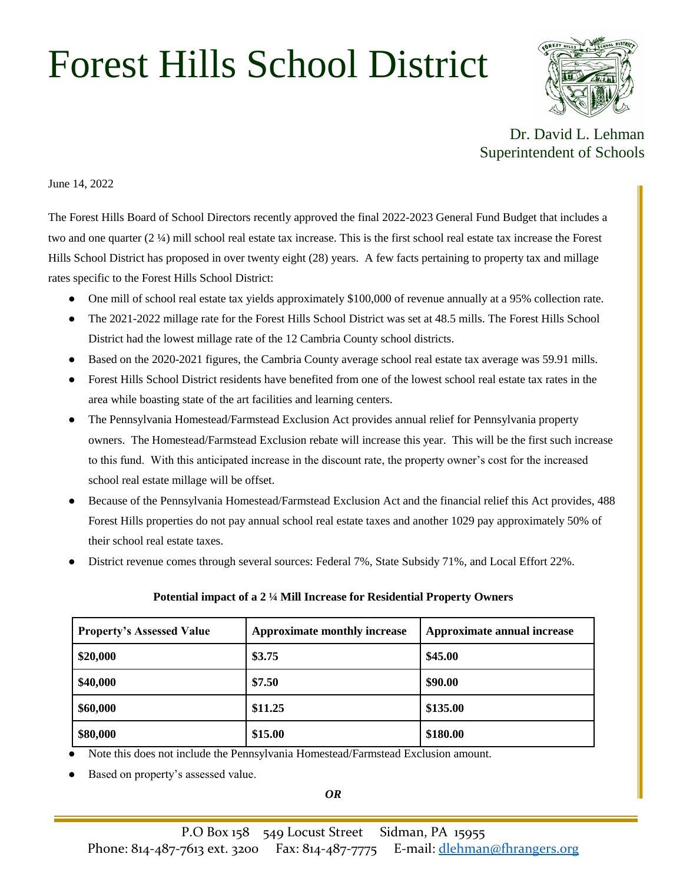## Forest Hills School District



Dr. David L. Lehman Superintendent of Schools

June 14, 2022

The Forest Hills Board of School Directors recently approved the final 2022-2023 General Fund Budget that includes a two and one quarter (2 ¼) mill school real estate tax increase. This is the first school real estate tax increase the Forest Hills School District has proposed in over twenty eight (28) years. A few facts pertaining to property tax and millage rates specific to the Forest Hills School District:

- One mill of school real estate tax yields approximately \$100,000 of revenue annually at a 95% collection rate.
- The 2021-2022 millage rate for the Forest Hills School District was set at 48.5 mills. The Forest Hills School District had the lowest millage rate of the 12 Cambria County school districts.
- Based on the 2020-2021 figures, the Cambria County average school real estate tax average was 59.91 mills.
- Forest Hills School District residents have benefited from one of the lowest school real estate tax rates in the area while boasting state of the art facilities and learning centers.
- The Pennsylvania Homestead/Farmstead Exclusion Act provides annual relief for Pennsylvania property owners. The Homestead/Farmstead Exclusion rebate will increase this year. This will be the first such increase to this fund. With this anticipated increase in the discount rate, the property owner's cost for the increased school real estate millage will be offset.
- Because of the Pennsylvania Homestead/Farmstead Exclusion Act and the financial relief this Act provides, 488 Forest Hills properties do not pay annual school real estate taxes and another 1029 pay approximately 50% of their school real estate taxes.
- District revenue comes through several sources: Federal 7%, State Subsidy 71%, and Local Effort 22%.

| <b>Property's Assessed Value</b> | Approximate monthly increase | Approximate annual increase |
|----------------------------------|------------------------------|-----------------------------|
| \$20,000                         | \$3.75                       | \$45.00                     |
| \$40,000                         | \$7.50                       | \$90.00                     |
| \$60,000                         | \$11.25                      | \$135.00                    |
| \$80,000                         | \$15.00                      | \$180.00                    |

## **Potential impact of a 2 ¼ Mill Increase for Residential Property Owners**

Note this does not include the Pennsylvania Homestead/Farmstead Exclusion amount.

Based on property's assessed value.

*OR*